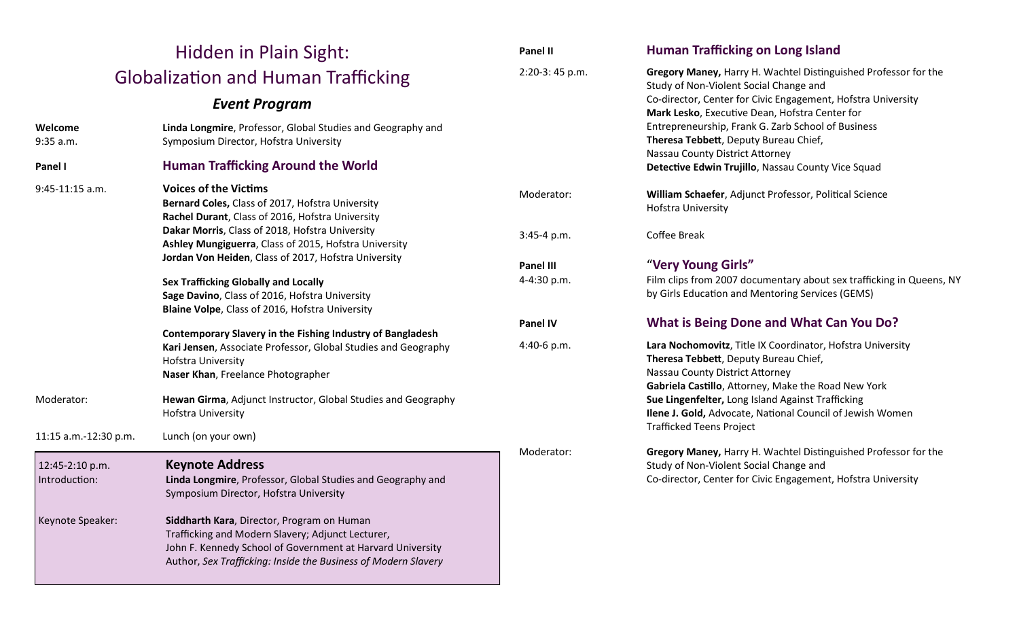| Hidden in Plain Sight:                                                                                                                                                                                                             |                                                                                                                                                                                                                                 | Panel II                                                                                          | <b>Human Trafficking on Long Island</b>                                                                                                                                                       |
|------------------------------------------------------------------------------------------------------------------------------------------------------------------------------------------------------------------------------------|---------------------------------------------------------------------------------------------------------------------------------------------------------------------------------------------------------------------------------|---------------------------------------------------------------------------------------------------|-----------------------------------------------------------------------------------------------------------------------------------------------------------------------------------------------|
| <b>Globalization and Human Trafficking</b>                                                                                                                                                                                         |                                                                                                                                                                                                                                 | 2:20-3:45 p.m.                                                                                    | Gregory Maney, Harry H. Wachtel Distinguished Professor for the<br>Study of Non-Violent Social Change and                                                                                     |
| <b>Event Program</b>                                                                                                                                                                                                               |                                                                                                                                                                                                                                 |                                                                                                   | Co-director, Center for Civic Engagement, Hofstra University<br>Mark Lesko, Executive Dean, Hofstra Center for                                                                                |
| Welcome<br>9:35 a.m.                                                                                                                                                                                                               | Linda Longmire, Professor, Global Studies and Geography and<br>Symposium Director, Hofstra University                                                                                                                           |                                                                                                   | Entrepreneurship, Frank G. Zarb School of Business<br>Theresa Tebbett, Deputy Bureau Chief,<br>Nassau County District Attorney<br>Detective Edwin Trujillo, Nassau County Vice Squad          |
| Panel I                                                                                                                                                                                                                            | <b>Human Trafficking Around the World</b>                                                                                                                                                                                       |                                                                                                   |                                                                                                                                                                                               |
| <b>Voices of the Victims</b><br>9:45-11:15 a.m.<br><b>Sex Trafficking Globally and Locally</b><br>Blaine Volpe, Class of 2016, Hofstra University<br><b>Hofstra University</b><br>Naser Khan, Freelance Photographer<br>Moderator: | Bernard Coles, Class of 2017, Hofstra University<br>Rachel Durant, Class of 2016, Hofstra University                                                                                                                            | Moderator:<br>William Schaefer, Adjunct Professor, Political Science<br><b>Hofstra University</b> |                                                                                                                                                                                               |
|                                                                                                                                                                                                                                    | Dakar Morris, Class of 2018, Hofstra University<br>Ashley Mungiguerra, Class of 2015, Hofstra University                                                                                                                        | 3:45-4 p.m.                                                                                       | <b>Coffee Break</b>                                                                                                                                                                           |
|                                                                                                                                                                                                                                    | Jordan Von Heiden, Class of 2017, Hofstra University                                                                                                                                                                            | Panel III                                                                                         | "Very Young Girls"                                                                                                                                                                            |
|                                                                                                                                                                                                                                    | Sage Davino, Class of 2016, Hofstra University                                                                                                                                                                                  | 4-4:30 p.m.                                                                                       | Film clips from 2007 documentary about sex trafficking in Queens, NY<br>by Girls Education and Mentoring Services (GEMS)                                                                      |
|                                                                                                                                                                                                                                    |                                                                                                                                                                                                                                 | <b>Panel IV</b>                                                                                   | What is Being Done and What Can You Do?                                                                                                                                                       |
|                                                                                                                                                                                                                                    | <b>Contemporary Slavery in the Fishing Industry of Bangladesh</b><br>Kari Jensen, Associate Professor, Global Studies and Geography<br>Hewan Girma, Adjunct Instructor, Global Studies and Geography                            | 4:40-6 p.m.                                                                                       | Lara Nochomovitz, Title IX Coordinator, Hofstra University<br>Theresa Tebbett, Deputy Bureau Chief,<br>Nassau County District Attorney<br>Gabriela Castillo, Attorney, Make the Road New York |
|                                                                                                                                                                                                                                    | <b>Hofstra University</b>                                                                                                                                                                                                       |                                                                                                   | Sue Lingenfelter, Long Island Against Trafficking<br>Ilene J. Gold, Advocate, National Council of Jewish Women<br><b>Trafficked Teens Project</b>                                             |
| 11:15 a.m.-12:30 p.m.                                                                                                                                                                                                              | Lunch (on your own)                                                                                                                                                                                                             |                                                                                                   |                                                                                                                                                                                               |
| 12:45-2:10 p.m.<br>Introduction:                                                                                                                                                                                                   | <b>Keynote Address</b><br>Linda Longmire, Professor, Global Studies and Geography and<br>Symposium Director, Hofstra University                                                                                                 | Moderator:                                                                                        | Gregory Maney, Harry H. Wachtel Distinguished Professor for the<br>Study of Non-Violent Social Change and<br>Co-director, Center for Civic Engagement, Hofstra University                     |
| Keynote Speaker:                                                                                                                                                                                                                   | Siddharth Kara, Director, Program on Human<br>Trafficking and Modern Slavery; Adjunct Lecturer,<br>John F. Kennedy School of Government at Harvard University<br>Author, Sex Trafficking: Inside the Business of Modern Slavery |                                                                                                   |                                                                                                                                                                                               |